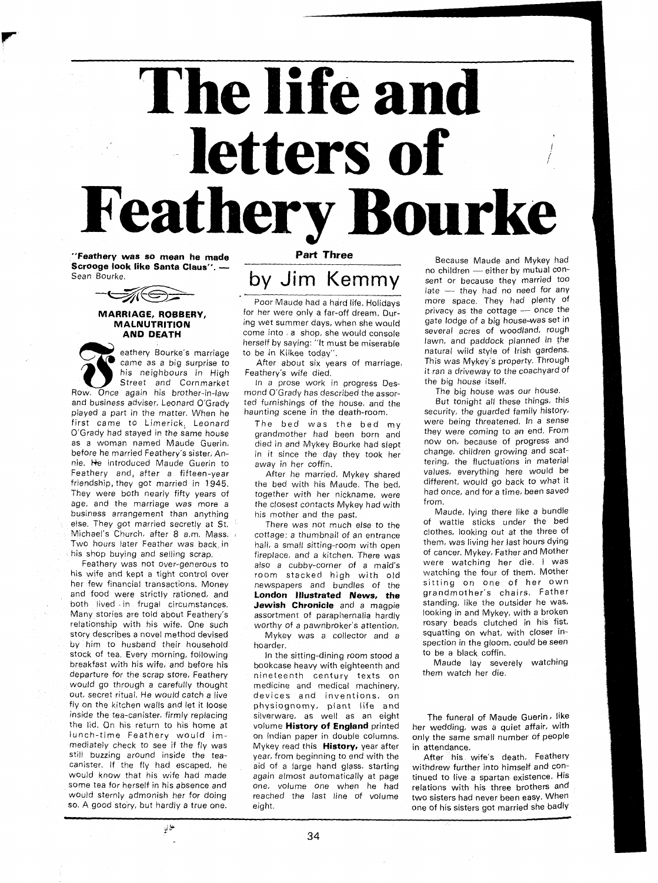# The life and letters of ke

**"Feathery was so mean he made Part Three** Because Maude and Mykey had<br>**Scrooge look like Santa Claus''.** The state of the property of the moodildren the either by mutual con-**Scrooge look like Santa Claus".** - no children - either by mutual Con- Sean Bourke.



## **MARRIAGE, ROBBERY, MALNUTRITION AND DEATH**

eathery Bourke's marriage came as a big surprise to<br>his neighbours in High Street and Cornmarket Once again his brother-in-law Row<sup>3</sup> and business adviser, Leonard O'Grady ted furnishings of the house, and the played a part in the matter. When he haunting scene in the death-room. played a part in the matter. When he haunting scene in the death-room. Security, the guarded family history, principle in the had was the had my were being threatened. In a sense first came to Limerick, Leonard The bed was the bed my  $O'$ Grady had stayed in the same house grandmother had been born and as a woman named Maude Guerin, died in and Mykey Bourke had slept now on, because of progress and<br>before he married Feathery's sister, An- in it since the day they took her change, children growing and scatbefore he married Feathery's sister, An- in it since the day they took her nie. He introduced Maude Guerin to away in her coffin. Feathery and, after a fifteen-year After he married, Mykey shared friendship, they got married in 1945, the bed with his Maude. The bed, They were both nearly fifty years of together with her nickname, were had conce, and the marriage was more a the closest contacts Mykey had with from. business arrangement than anything his mother and the past. Maude, lying there like a bundle<br>else. They got married secretly at St. There was not much else to the of wattle sticks under the bed else. They got married secretly at St. 4 There was not much else to the of wattle sticks under the bed<br>Michael's Church, after 8 a.m. Mass. a cottage a thumbnail of an entrance clothes, looking out at the three of Michael's Church, after 8 a.m. Mass. , cottage: a thumbnail of an entrance clothes, looking out at the three of<br>Two hours later Feather was back in the hall, a small sitting-room with open them, was living her last hours d Two hours later Feather was back in hall, a small sitting-room with open them, was living her last hours dying<br>his shop buying and selling scrap. The the fire and a kitchen. There was of cancer. Mykey, Father and Mother

his wife and kept a tight control over room stacked high with old watching the four of them. Mother<br>her few financial transactions. Money hewspapers and bundles of the sitting on one of her own and food were strictly rationed, and **London jllustrated News, the** grandmother's chairs. Father Many stories are told about Feathery's assortment of paraphernalia hardly looking in and Mykey, with a broken<br>relationship with his wife. One such worthy of a pawnbroker's attention. The rosary beads clutched in his fist relationship with his wife. One such worthy of a pawnbroker's attention. The reads clutched in his fist,<br>story describes a novel method devised Mykey was a collector and a squatting on what, with closer instory describes a novel method devised . Mykey was a collector and a squatting on what, with closer in-<br>by him to husband their household . hoarder, by him to husband their household hoarder.<br>stock of tea, Every morning, following in the sitting-dining room stood a to be a black coffin. stock of tea. Every morning, following in the sitting-dining room stood a to be a black coffin.<br>
breakfast with his wife, and before his bookcase heavy with eighteenth and Maude lay severely watching breakfast with his wife, and before his bookcase heavy with eighteenth and Maude lay severely be and before he<br>departure for the scrap store, Feathery in ineteenth century texts on them watch her die. would go through a carefully thought medicine and medical machinery, out, secret ritual. He would catch a live devices and inventions, on fly on the kitchen walls and let it loose physiognomy, plant life and inside the tea-canister, firmly replacing silverware, as well as an eight The funeral of Maude Guerin, like<br>the lid. On his return to his home at yolume **History of England** printed ther wedding, was a quiet affair, with lunch-time Feathery would im- on Indian paper in double columns. only the same small number of people mediately check to see if the fly was Mykey read this **History,** year after in attendance. still buzzing around inside the tea- year, from beginning to end with the After **his** wife's death. Feathery canister. If the fly had escaped, he aid of a large hand glass, starting withdrew further into himself and con-<br>would know that his wife had made again almost automatically at page tinued to live a spartan existence. His some tea for herself in his absence and would sternly admonish her for doing reached the last line of volume two sisters had never been easy. When

 $\mathcal{V}^{\leftarrow}$ 

Poor Maude had a hard life. Holidays for her were only a far-off dream. During wet summer days, when she would come into a shop, she would console herself by saying: "It must be miserable to be in Kilkee today".

After about six years of marriage, Feathery's wife died.

In a prose work in progress Desmond O'Grady has described the assor-

grandmother had been born and they were coming to an end. From<br>died in and Mykey Bourke had stant now on, because of progress and

the closest contacts Mykey had with from.<br>his mother and the past. Maude, lying there like a bundle

s shop buying and selling scrap. Fireplace, and a kitchen. There was The Cancer. Mykey, Father and Mother in the<br>Feathery was not over-generous to The also a cubby-corner of a maid's There watching her die. I was also a cubby-corner of a maid's were watching her die. I was<br>room stacked high with old watching the four of them. Mother hewspapers and bundles of the sittling on one of her own<br>**London Illustrated News, the** Surandmother's chairs. Father **Jewish Chronicle** and a magpie standing, like the outsider he was,<br>assortment of naraphernalia hardly stooking in and Mykey, with a broken

nineteenth century texts on

 $\det e$  - they had no need for any more space. They had plenty of privacy as the cottage - once the gate lodge of a big house-was set in several acres of woodland, rough lawn, and paddock planned in the natural wild style of Irish gardens. This was Mykey's property. Through it ran a driveway to the coachyard of the big house itself.

The big house was our house.

But tonight all these things, this away in her coffin.<br>After he married. Mykey shared values, everything here would be different, would go back to what it<br>had once, and for a time, been saved

volume **History of England** printed her wedding, was a quiet affair, with on indian paper in double columns. **only the same small number of people** 

again almost automatically at page tinued to live a spartan existence. His one, volume one when he had relations with his three brothers and so. A good story, but hardly a true one. eight. The store of his sisters got married she badly

34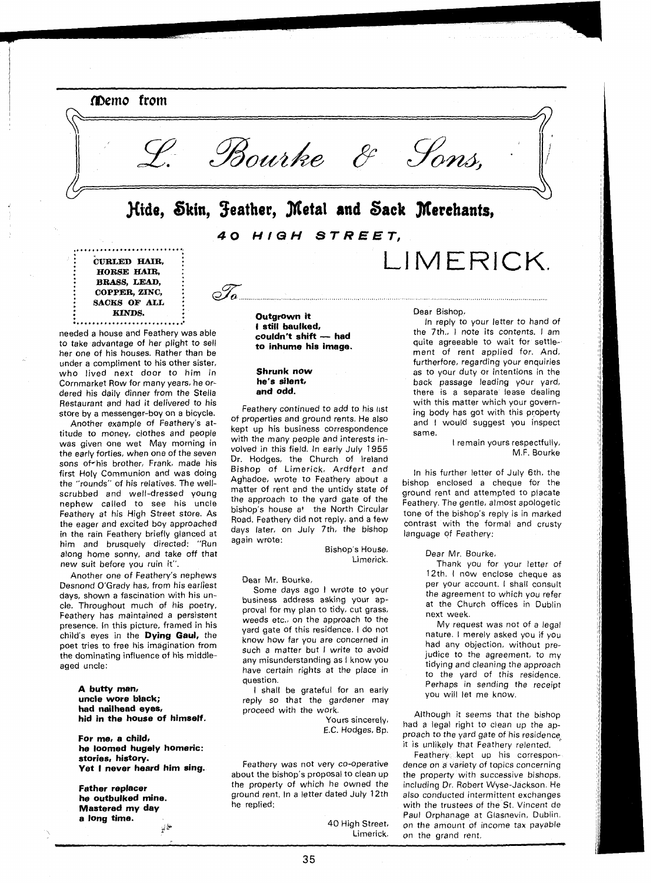

i **CURLED HAIR,** i : **HORSE** HAI& : **BRASS, LEAD, COPPER. ZINC. IF ALL KINDS.** 

needed a house and Feathery was able to take advantage of her plight to sell her one of his houses. Rather than be under a compliment to his other sister, who lived next door to him in Cornmarket Row for many years, he ordered his daily dinner from the Stella Restaurant and had it delivered to his store by a messenger-boy on a bicycle.

. . . . . . . . . . . . . . . . . . .

Another example of Feathery's attitude to money, clothes and people was given one wet May morning in the early forties, when one of the seven sons of his brother, Frank, made his first Holy Communion and was doing the "rounds" of his relatives. The wellscrubbed and well-dressed young nephew called to see his uncle Feathery at his High Street store. As the eager and excited boy approached in the rain Feathery briefly glanced at him and brusquely directed: "Run along home sonny, and take off that new suit before you ruin it".

Another one of Feathery's nephews Desnond O'Grady has, from his earliest days, shown a fascination with his uncle. Throughout much of his poetry, Feathery has maintained a persistent presence. In this picture, framed in his child's eyes in the **Dying Gaul,** the poet tries to free his imagination from the dominating influence of his middleaged uncle:

### **A butty man, uncle wore black; had nailhead eyes, hid in the house of himself.**

**For me, a child, he loomed hugely homeric: stories, history. Yet I never heard him sing.** 

**Father replacer he outbulked mine. Mastered my day**   $\mathbb{R}^{l \times \mathbb{N}^{\mathbb{N}}}$  **Outgrown it I still baulked,**  couldn't shift - had **to inhume his image.** 

........................................................................

### **Shrunk now he's silent, and odd.**

 $\circ \mathcal{T}$ 

Feathery continued to add to his list of properties and ground rents. He also kept up his business correspondence with the many people and interests involved in this field. In early July 1955 Dr. Hodges, the Church of Ireland Bishop of Limerick, Ardfert and Aghadoe, wrote to Feathery about a matter of rent and the untidy state of the approach to the yard gate of the bishop's house at the North circular Road. Feathery did not reply, and a few days later, on July 7th, the bishop again wrote:

> Bishop's House, Limerick.

Dear Mr. Bourke,

Some days ago I wrote to your business address asking your approval for my plan to tidy, cut grass, weeds etc., on the approach to the yard gate of this residence. I do not know how far you are concerned in such a matter but I write to avoid any misunderstanding as I know you have certain rights at the place in question.

I shall be grateful for an early reply so that the gardener may proceed with the work.

> Yours sincerely, E.C. Hodges, Bp.

Feathery was not very co-operative about the bishop's proposal to clean up the property of which he owned the ground rent. In a letter dated July 12th he replied:

> 40 High Street, Limerick.

Dear Bishop,

LIMERICK.

In reply to your letter to hand of the 7th., I note its contents. I am quite agreeable to wait for settlement of rent applied for. And. furtherfore, regarding your enquiries as to your duty or intentions in the back passage leading your yard, there is a separate lease dealing with this matter which your governing body has got with this proberty and I would suggest you inspect same.

> I remain yours respectfully, M.F. Bourke

In his further letter of July 6th, the bishop enclosed a cheque for the ground rent and attempted to placate Feathery. The gentle, almost apologetic tone of the bishop's reply is in marked contrast with the formal and crusty language of Feathery:

Dear Mr. Bourke,

Thank you for your letter of 12th. I now enclose cheque as per your account. I shall consult the agreement to which you refer at the Church offices in Dublin next week.

My request was not of a legal nature. I merely asked you if you had any objection, without prejudice to the agreement, to my tidying and cleaning the approach to the yard of this residence. Perhaps in sending the receipt you will let me know.

Although it seems that the bishop had a legal right to clean up the approach to the yard gate of his residence it is unlikely that Feathery relented.

Feathery kept up his correspondence on a variety of topics concerning the property with successive bishops, including Dr. Robert Wyse-Jackson. He also conducted intermittent exchanges with the trustees of the St. Vincent de Paul Orphanage at Glasnevin, Dublin, on the amount of income tax payable on the grand rent.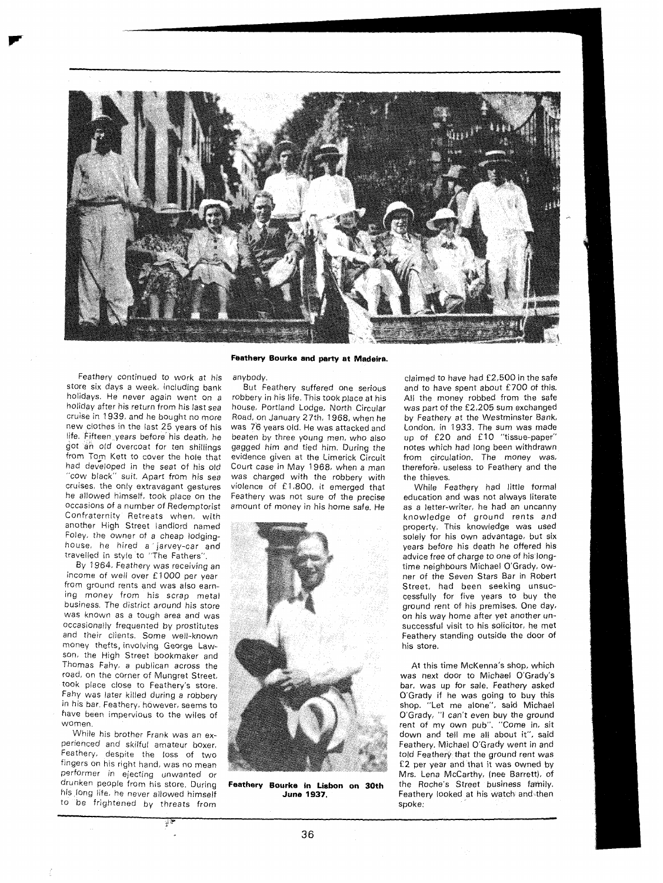

Feathery continued to work at his store six days a week, including bank holidays. He never again went on a holiday after his return from his last sea cruise in 1939, and he bought no more new clothes in the last 25 years of his life. Fifteen years before his death, he got an old overcoat for ten shillings from Tom Kett to cover the hole that had developed in the seat of his old "cow black" suit. Apart from his sea cruises, the only extravagant gestures he allowed himself, took place on the occasions of a number of Redemptorist Confraternity Retreats when, with another High Street landlord named Foley, the owner of a cheap lodginghouse, he hired a jarvey-car and travelled in style to "The Fathers".

By 1964, Feathery was receiving an income of well over £1000 per year from ground rents and was also earning money from his scrap metal business. The district around his store was known as a tough area and was occasionally frequented by prostitutes and their clients. Some well-known money thefts, involving George Lawson, the High Street bookmaker and Thomas Fahy, a publican across the road, on the corner of Mungret Street, took place close to Feathery's store. Fahy was later killed during a robbery in his bar. Feathery, however, seems to have been impervious to the wiles of women.

While his brother Frank was an experienced and skilful amateur boxer, Feathery, despite the loss of two fingers on his right hand, was no mean performer in ejecting unwanted or<br>drunken people-from-his-store During his long life, he never allowed himself **June 1937.** to be frightened by threats from

# **Feathery Bourke and party at Madeira.**

anybody.

But Feathery suffered one serious robbery in his life. This took place at his house, Portland Lodge, North Circular Road, on January 27th, 1968, when he was 76 years old. He was attacked and beaten by three young men, who also gagged him and tied him. During the evidence given at the Limerick Circuit Court case in May 1968, when a man was charged with the robbery with violence of £1,800, it emerged that Feathery was not sure of the precise amount of money in his home safe. He



Feathery Bourke in Lisbon on 30th

claimed to have had £2,500 in the safe and to have spent about £700 of this. All the money robbed from the safe was part of the £2,205 sum exchanged by Feathery at the Westminster Bank, London. in 1933. The sum was made up of £20 and £10 "tissue-paper" notes which had long been withdrawn from circulation. The money was, therefore. useless to Feathery and the the thieves.

While Feathery had little formal education and was not always literate as a letter-writer, he had an uncanny knowledge of ground rents and property. This knowledge was used solely for his own advantage, but six years before his death he offered his advice free of charge to one of his longtime neighbours Michael O'Grady, owner of the Seven Stars Bar in Robert Street, had been seeking unsuccessfully for five years to buy the ground rent of his premises. One day, on his way home after yet another unsuccessful visit to his solicitor, he met Feathery standing outside the door of his store.

At this time McKenna's shop, which was next door to Michael O'Grady's bar, was up for sale. Feathery asked O'Grady if he was going to buy this shop. "Let me alone", said Michael O'Grady, "I can't even buy the ground rent of my own pub". "Come in. sit down and tell me all about it", said Feathery. Michael O'Grady went in and told Feathery that the ground rent was £2 per year and that it was owned by Mrs. Lena McCarthy, (nee Barrett), of the Roche's Street business fahily. Feathery looked at his watch and then spoke: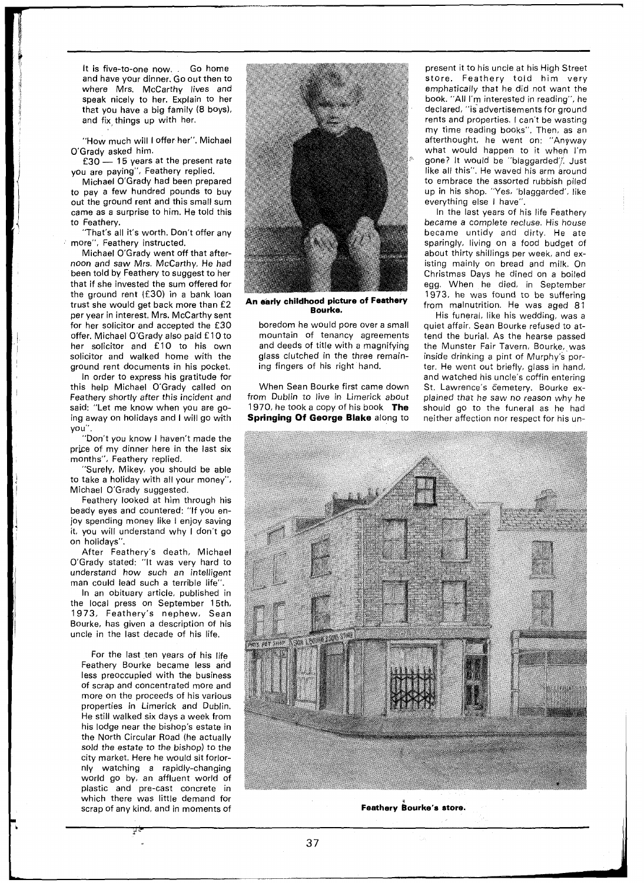It is five-to-one now. . Go home and have your dinner. Go out then to where Mrs. McCarthy lives and speak nicely to her. Explain to her that you have a big family **(8** boys), and fix, things up with her.

"How much will I offer her". Michael<br>Brady asked him.<br>£30 — 15 years at the present rate O'Grady asked him.<br>£30 - 15 years at the present rate

you are paying", Feathery replied.

Michael O'Grady had been prepared to pay a few hundred pounds to buy out the ground rent and this small sum came as a surprise to him. He told this to Feathery.

"That's all it's worth. Don't offer any more", Feathery instructed.

Michael O'Grady went off that afternoon and saw Mrs. McCarthy. He had been told by Feathery to suggest to her that if she invested the sum offered for the ground rent (£30) in a bank loan trust she would get back more than £2 per year in interest. Mrs. McCarthy sent for her solicitor and accepted the £30 offer. Michael O'Grady also paid £10 to her solicitor and £10 to his own solicitor and walked home with the ground rent documents in his pocket.

In order to express his gratitude for this help Michael O'Grady called on Feathery shortly after this incident and said: "Let me know when you are going away on holidays and I will go with you".

"Don't you know I haven't made the price of my dinner here in the last six months", Feathery replied.

"Surely, Mikey, you should be able to take a holiday with all your money", Michael O'Grady suggested.

Feathery looked at him through his beady eyes and countered: "If you enjoy spending money like I enjoy saving it, you will understand why I don't go on holidays".

After Feathery's death, Michael O'Grady stated: "It was very hard to understand how such an intelligent man could lead such a terrible life".

In an obituary article. published in the local press on September 15th, 1973, Feathery's nephew, Sean Bourke, has given a description of his uncle in the last decade of his life.

For the last ten years of his life Feathery Bourke became less and less preoccupied with the business of scrap and concentrated more and more on the proceeds of his various properties in Limerick and Dublin. He still walked six days a week from his lodge near the bishop's estate in the North Circular Road (he actually sold the estate to the bishop) to the city market. Here he would sit forlornly watching a rapidly-changing world go by, an affluent world of plastic and pre-cast concrete in which there was little demand for scrap of any kind, and in moments of



**An early childhood picture of Feathery Bourke.** 

boredom he would pore over a small mountain of tenancy agreements and deeds of title with a magnifying glass clutched in the three remaining fingers of his right hand.

When Sean Bourke first came down from Dublin to live in Limerick about 1970, he took a copy of his book **The Springing Of George Blake** along to

present it to his uncle at his High Street store. Feathery told him very emphatically that he did not want the book. "All I'm interested in reading", he declared, "is advertisements for ground rents and properties. I can't be wasting my time reading books". Then, as an afterthought, he went on: "Anyway what would happen to it when I'm gone? It would be "blaggarded", Just like all this". He waved his arm around to embrace the assorted rubbish piled up in his shop. "Yes, 'blaggarded', like everything else I have".

In the last years of his life Feathery became a complete recluse. His house became untidy and dirty. He ate sparingly, living on a food budget of about thirty shillings per week, and existing mainly on bread and milk. On Christmas Days he dined on a boiled egg. When he died, in September 1973, he was found to be suffering from malnutrition. He was aged 81

His funeral, like his wedding, was a quiet affair. Sean Bourke refused to attend the burial. As the hearse passed the Munster Fair Tavern, Bourke, was inside drinking a pint of Murphy's porter. He went out briefly, glass in hand, and watched his uncle's coffin entering St. Lawrence's Cemetery. Bourke explained that he saw no reason why he should go to the funeral as he had neither affection nor respect for his un-



Feathery Bourke's store.